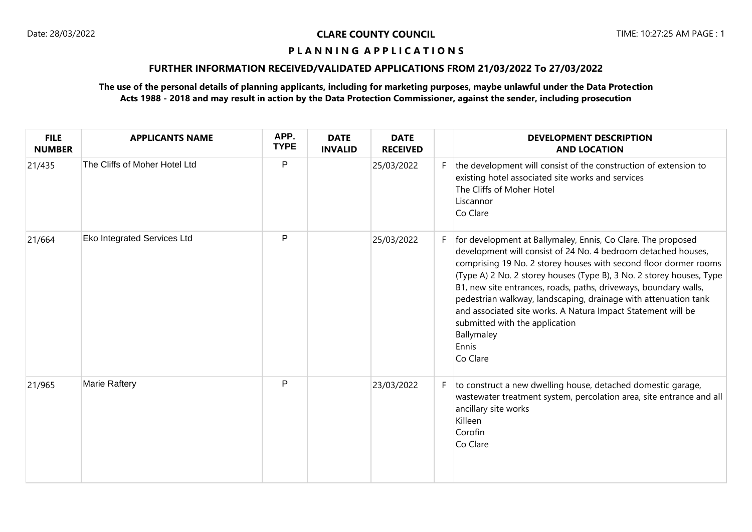# **P L A N N I N G A P P L I C A T I O N S**

# **FURTHER INFORMATION RECEIVED/VALIDATED APPLICATIONS FROM 21/03/2022 To 27/03/2022**

# **The use of the personal details of planning applicants, including for marketing purposes, maybe unlawful under the Data Protection Acts 1988 - 2018 and may result in action by the Data Protection Commissioner, against the sender, including prosecution**

| <b>FILE</b><br><b>NUMBER</b> | <b>APPLICANTS NAME</b>             | APP.<br><b>TYPE</b> | <b>DATE</b><br><b>INVALID</b> | <b>DATE</b><br><b>RECEIVED</b> |    | <b>DEVELOPMENT DESCRIPTION</b><br><b>AND LOCATION</b>                                                                                                                                                                                                                                                                                                                                                                                                                                                                                                 |
|------------------------------|------------------------------------|---------------------|-------------------------------|--------------------------------|----|-------------------------------------------------------------------------------------------------------------------------------------------------------------------------------------------------------------------------------------------------------------------------------------------------------------------------------------------------------------------------------------------------------------------------------------------------------------------------------------------------------------------------------------------------------|
| 21/435                       | The Cliffs of Moher Hotel Ltd      | P                   |                               | 25/03/2022                     |    | the development will consist of the construction of extension to<br>existing hotel associated site works and services<br>The Cliffs of Moher Hotel<br>Liscannor<br>Co Clare                                                                                                                                                                                                                                                                                                                                                                           |
| 21/664                       | <b>Eko Integrated Services Ltd</b> | P                   |                               | 25/03/2022                     |    | for development at Ballymaley, Ennis, Co Clare. The proposed<br>development will consist of 24 No. 4 bedroom detached houses,<br>comprising 19 No. 2 storey houses with second floor dormer rooms<br>(Type A) 2 No. 2 storey houses (Type B), 3 No. 2 storey houses, Type<br>B1, new site entrances, roads, paths, driveways, boundary walls,<br>pedestrian walkway, landscaping, drainage with attenuation tank<br>and associated site works. A Natura Impact Statement will be<br>submitted with the application<br>Ballymaley<br>Ennis<br>Co Clare |
| 21/965                       | Marie Raftery                      | P                   |                               | 23/03/2022                     | F. | to construct a new dwelling house, detached domestic garage,<br>wastewater treatment system, percolation area, site entrance and all<br>ancillary site works<br>Killeen<br>Corofin<br>Co Clare                                                                                                                                                                                                                                                                                                                                                        |